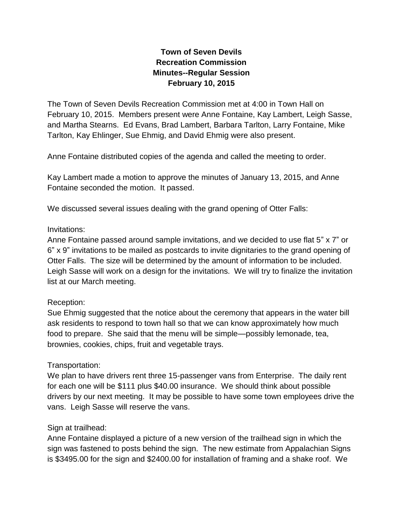# **Town of Seven Devils Recreation Commission Minutes--Regular Session February 10, 2015**

The Town of Seven Devils Recreation Commission met at 4:00 in Town Hall on February 10, 2015. Members present were Anne Fontaine, Kay Lambert, Leigh Sasse, and Martha Stearns. Ed Evans, Brad Lambert, Barbara Tarlton, Larry Fontaine, Mike Tarlton, Kay Ehlinger, Sue Ehmig, and David Ehmig were also present.

Anne Fontaine distributed copies of the agenda and called the meeting to order.

Kay Lambert made a motion to approve the minutes of January 13, 2015, and Anne Fontaine seconded the motion. It passed.

We discussed several issues dealing with the grand opening of Otter Falls:

#### Invitations:

Anne Fontaine passed around sample invitations, and we decided to use flat 5" x 7" or 6" x 9" invitations to be mailed as postcards to invite dignitaries to the grand opening of Otter Falls. The size will be determined by the amount of information to be included. Leigh Sasse will work on a design for the invitations. We will try to finalize the invitation list at our March meeting.

#### Reception:

Sue Ehmig suggested that the notice about the ceremony that appears in the water bill ask residents to respond to town hall so that we can know approximately how much food to prepare. She said that the menu will be simple—possibly lemonade, tea, brownies, cookies, chips, fruit and vegetable trays.

#### Transportation:

We plan to have drivers rent three 15-passenger vans from Enterprise. The daily rent for each one will be \$111 plus \$40.00 insurance. We should think about possible drivers by our next meeting. It may be possible to have some town employees drive the vans. Leigh Sasse will reserve the vans.

#### Sign at trailhead:

Anne Fontaine displayed a picture of a new version of the trailhead sign in which the sign was fastened to posts behind the sign. The new estimate from Appalachian Signs is \$3495.00 for the sign and \$2400.00 for installation of framing and a shake roof. We